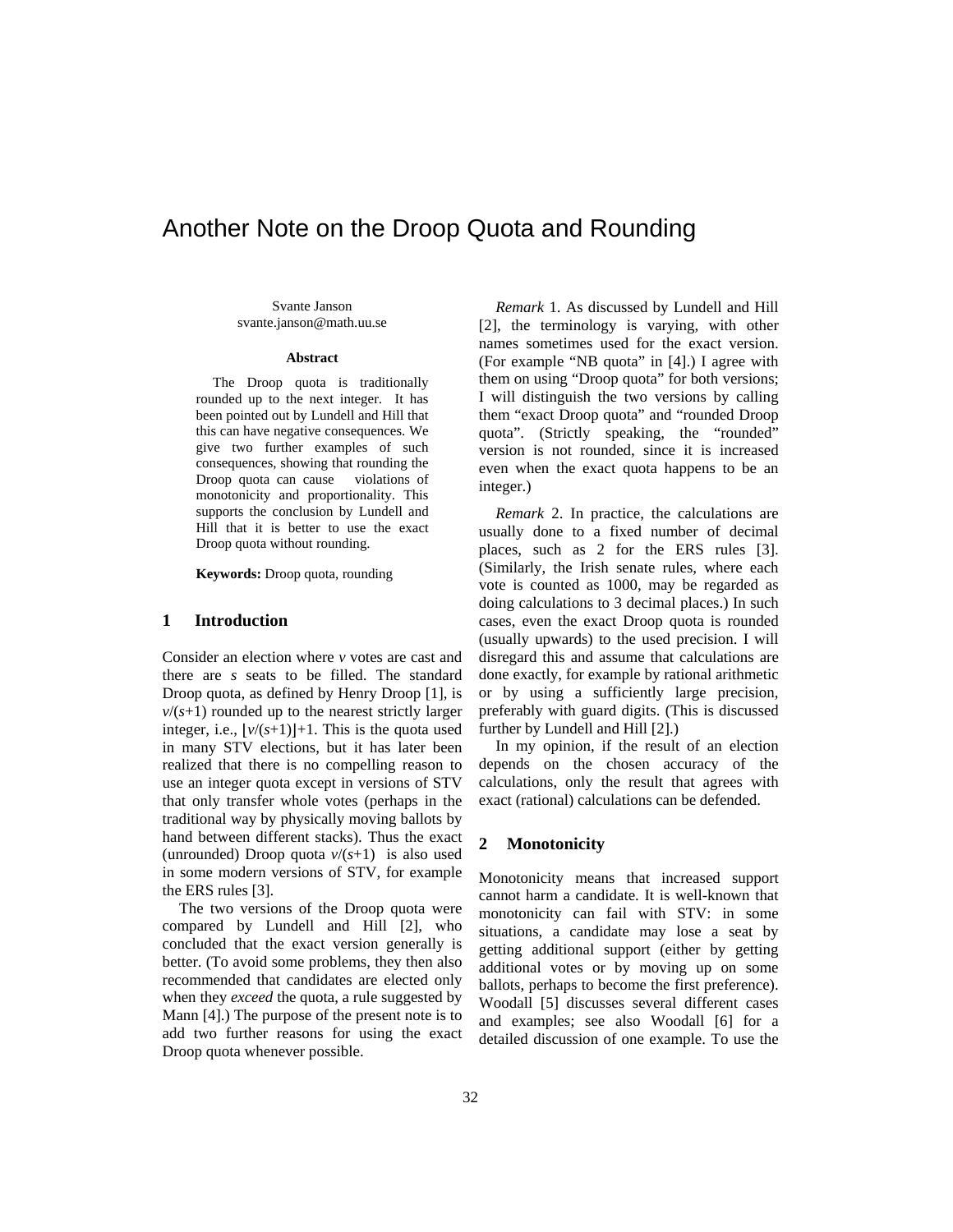# Another Note on the Droop Quota and Rounding

Svante Janson svante.janson@math.uu.se

#### **Abstract**

The Droop quota is traditionally rounded up to the next integer. It has been pointed out by Lundell and Hill that this can have negative consequences. We give two further examples of such consequences, showing that rounding the Droop quota can cause violations of monotonicity and proportionality. This supports the conclusion by Lundell and Hill that it is better to use the exact Droop quota without rounding.

**Keywords:** Droop quota, rounding

#### **1 Introduction**

Consider an election where *v* votes are cast and there are *s* seats to be filled. The standard Droop quota, as defined by Henry Droop [1], is  $v/(s+1)$  rounded up to the nearest strictly larger integer, i.e.,  $|\nu/(s+1)|+1$ . This is the quota used in many STV elections, but it has later been realized that there is no compelling reason to use an integer quota except in versions of STV that only transfer whole votes (perhaps in the traditional way by physically moving ballots by hand between different stacks). Thus the exact (unrounded) Droop quota *v*/(*s*+1) is also used in some modern versions of STV, for example the ERS rules [3].

The two versions of the Droop quota were compared by Lundell and Hill [2], who concluded that the exact version generally is better. (To avoid some problems, they then also recommended that candidates are elected only when they *exceed* the quota, a rule suggested by Mann [4].) The purpose of the present note is to add two further reasons for using the exact Droop quota whenever possible.

*Remark* 1. As discussed by Lundell and Hill [2], the terminology is varying, with other names sometimes used for the exact version. (For example "NB quota" in [4].) I agree with them on using "Droop quota" for both versions; I will distinguish the two versions by calling them "exact Droop quota" and "rounded Droop quota". (Strictly speaking, the "rounded" version is not rounded, since it is increased even when the exact quota happens to be an integer.)

*Remark* 2. In practice, the calculations are usually done to a fixed number of decimal places, such as 2 for the ERS rules [3]. (Similarly, the Irish senate rules, where each vote is counted as 1000, may be regarded as doing calculations to 3 decimal places.) In such cases, even the exact Droop quota is rounded (usually upwards) to the used precision. I will disregard this and assume that calculations are done exactly, for example by rational arithmetic or by using a sufficiently large precision, preferably with guard digits. (This is discussed further by Lundell and Hill [2].)

In my opinion, if the result of an election depends on the chosen accuracy of the calculations, only the result that agrees with exact (rational) calculations can be defended.

# **2 Monotonicity**

Monotonicity means that increased support cannot harm a candidate. It is well-known that monotonicity can fail with STV: in some situations, a candidate may lose a seat by getting additional support (either by getting additional votes or by moving up on some ballots, perhaps to become the first preference). Woodall [5] discusses several different cases and examples; see also Woodall [6] for a detailed discussion of one example. To use the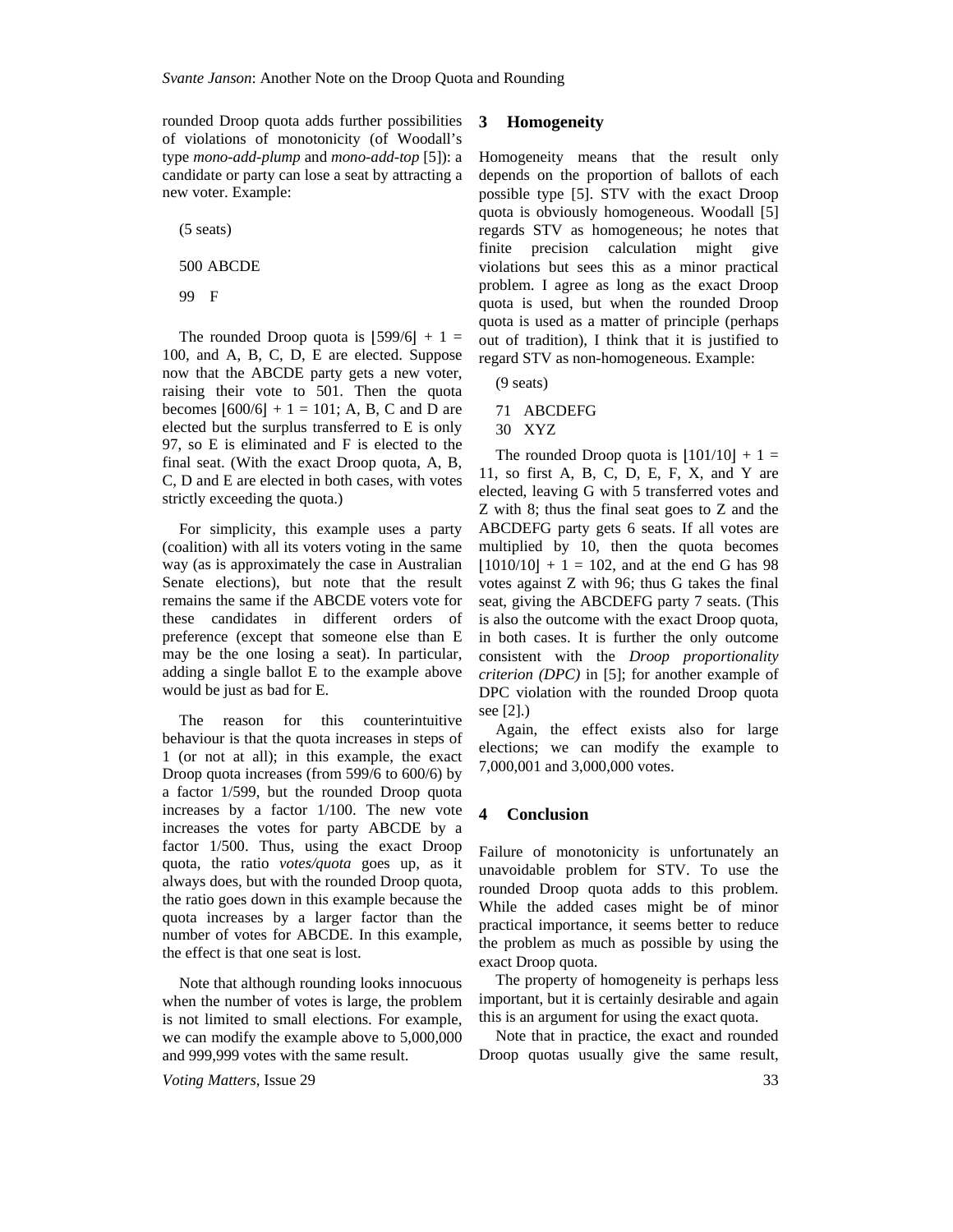rounded Droop quota adds further possibilities of violations of monotonicity (of Woodall's type *mono-add-plump* and *mono-add-top* [5]): a candidate or party can lose a seat by attracting a new voter. Example:

(5 seats)

500 ABCDE

99 F

The rounded Droop quota is  $|599/6| + 1 =$ 100, and A, B, C, D, E are elected. Suppose now that the ABCDE party gets a new voter, raising their vote to 501. Then the quota becomes  $|600/6| + 1 = 101$ ; A, B, C and D are elected but the surplus transferred to E is only 97, so E is eliminated and F is elected to the final seat. (With the exact Droop quota, A, B, C, D and E are elected in both cases, with votes strictly exceeding the quota.)

For simplicity, this example uses a party (coalition) with all its voters voting in the same way (as is approximately the case in Australian Senate elections), but note that the result remains the same if the ABCDE voters vote for these candidates in different orders of preference (except that someone else than E may be the one losing a seat). In particular, adding a single ballot E to the example above would be just as bad for E.

The reason for this counterintuitive behaviour is that the quota increases in steps of 1 (or not at all); in this example, the exact Droop quota increases (from 599/6 to 600/6) by a factor 1/599, but the rounded Droop quota increases by a factor 1/100. The new vote increases the votes for party ABCDE by a factor 1/500. Thus, using the exact Droop quota, the ratio *votes/quota* goes up, as it always does, but with the rounded Droop quota, the ratio goes down in this example because the quota increases by a larger factor than the number of votes for ABCDE. In this example, the effect is that one seat is lost.

Note that although rounding looks innocuous when the number of votes is large, the problem is not limited to small elections. For example, we can modify the example above to 5,000,000 and 999,999 votes with the same result.

*Voting Matters*, Issue 29 33

#### **3 Homogeneity**

Homogeneity means that the result only depends on the proportion of ballots of each possible type [5]. STV with the exact Droop quota is obviously homogeneous. Woodall [5] regards STV as homogeneous; he notes that finite precision calculation might give violations but sees this as a minor practical problem. I agree as long as the exact Droop quota is used, but when the rounded Droop quota is used as a matter of principle (perhaps out of tradition), I think that it is justified to regard STV as non-homogeneous. Example:

(9 seats)

71 ABCDEFG

30 XYZ

The rounded Droop quota is  $|101/10| + 1 =$ 11, so first A, B, C, D, E, F, X, and Y are elected, leaving G with 5 transferred votes and Z with 8; thus the final seat goes to Z and the ABCDEFG party gets 6 seats. If all votes are multiplied by 10, then the quota becomes  $|1010/10| + 1 = 102$ , and at the end G has 98 votes against Z with 96; thus G takes the final seat, giving the ABCDEFG party 7 seats. (This is also the outcome with the exact Droop quota, in both cases. It is further the only outcome consistent with the *Droop proportionality criterion (DPC)* in [5]; for another example of DPC violation with the rounded Droop quota see [2].)

Again, the effect exists also for large elections; we can modify the example to 7,000,001 and 3,000,000 votes.

## **4 Conclusion**

Failure of monotonicity is unfortunately an unavoidable problem for STV. To use the rounded Droop quota adds to this problem. While the added cases might be of minor practical importance, it seems better to reduce the problem as much as possible by using the exact Droop quota.

The property of homogeneity is perhaps less important, but it is certainly desirable and again this is an argument for using the exact quota.

Note that in practice, the exact and rounded Droop quotas usually give the same result,